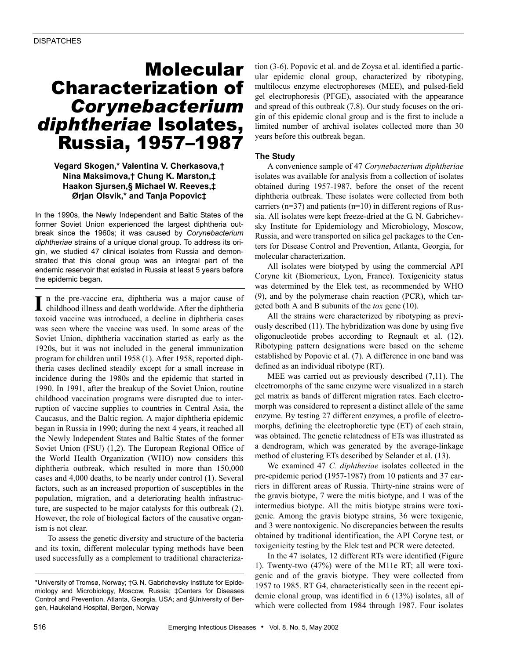# Molecular Characterization of *Corynebacterium diphtheriae* Isolates, Russia, 1957–1987

# **Vegard Skogen,\* Valentina V. Cherkasova,† Nina Maksimova,† Chung K. Marston,‡ Haakon Sjursen,§ Michael W. Reeves,‡ Ørjan Olsvik,\* and Tanja Popovic‡**

In the 1990s, the Newly Independent and Baltic States of the former Soviet Union experienced the largest diphtheria outbreak since the 1960s; it was caused by *Corynebacterium diphtheriae* strains of a unique clonal group. To address its origin, we studied 47 clinical isolates from Russia and demonstrated that this clonal group was an integral part of the endemic reservoir that existed in Russia at least 5 years before the epidemic began**.** 

n the pre-vaccine era, diphtheria was a major cause of childhood illness and death worldwide. After the diphtheria toxoid vaccine was introduced, a decline in diphtheria cases was seen where the vaccine was used. In some areas of the Soviet Union, diphtheria vaccination started as early as the 1920s, but it was not included in the general immunization program for children until 1958 (1). After 1958, reported diphtheria cases declined steadily except for a small increase in incidence during the 1980s and the epidemic that started in 1990. In 1991, after the breakup of the Soviet Union, routine childhood vaccination programs were disrupted due to interruption of vaccine supplies to countries in Central Asia, the Caucasus, and the Baltic region. A major diphtheria epidemic began in Russia in 1990; during the next 4 years, it reached all the Newly Independent States and Baltic States of the former Soviet Union (FSU) (1,2). The European Regional Office of the World Health Organization (WHO) now considers this diphtheria outbreak, which resulted in more than 150,000 cases and 4,000 deaths, to be nearly under control (1). Several factors, such as an increased proportion of susceptibles in the population, migration, and a deteriorating health infrastructure, are suspected to be major catalysts for this outbreak (2). However, the role of biological factors of the causative organism is not clear. **I**

To assess the genetic diversity and structure of the bacteria and its toxin, different molecular typing methods have been used successfully as a complement to traditional characteriza-

tion (3-6). Popovic et al. and de Zoysa et al. identified a particular epidemic clonal group, characterized by ribotyping, multilocus enzyme electrophoreses (MEE), and pulsed-field gel electrophoresis (PFGE), associated with the appearance and spread of this outbreak (7,8). Our study focuses on the origin of this epidemic clonal group and is the first to include a limited number of archival isolates collected more than 30 years before this outbreak began.

## **The Study**

A convenience sample of 47 *Corynebacterium diphtheriae* isolates was available for analysis from a collection of isolates obtained during 1957-1987, before the onset of the recent diphtheria outbreak. These isolates were collected from both carriers ( $n=37$ ) and patients ( $n=10$ ) in different regions of Russia. All isolates were kept freeze-dried at the G. N. Gabrichevsky Institute for Epidemiology and Microbiology, Moscow, Russia, and were transported on silica gel packages to the Centers for Disease Control and Prevention, Atlanta, Georgia, for molecular characterization.

All isolates were biotyped by using the commercial API Coryne kit (Biomerieux, Lyon, France). Toxigenicity status was determined by the Elek test, as recommended by WHO (9), and by the polymerase chain reaction (PCR), which targeted both A and B subunits of the *tox* gene (10).

All the strains were characterized by ribotyping as previously described (11). The hybridization was done by using five oligonucleotide probes according to Regnault et al. (12). Ribotyping pattern designations were based on the scheme established by Popovic et al. (7). A difference in one band was defined as an individual ribotype (RT).

MEE was carried out as previously described (7,11). The electromorphs of the same enzyme were visualized in a starch gel matrix as bands of different migration rates. Each electromorph was considered to represent a distinct allele of the same enzyme. By testing 27 different enzymes, a profile of electromorphs, defining the electrophoretic type (ET) of each strain, was obtained. The genetic relatedness of ETs was illustrated as a dendrogram, which was generated by the average-linkage method of clustering ETs described by Selander et al. (13).

We examined 47 *C. diphtheriae* isolates collected in the pre-epidemic period (1957-1987) from 10 patients and 37 carriers in different areas of Russia. Thirty-nine strains were of the gravis biotype, 7 were the mitis biotype, and 1 was of the intermedius biotype. All the mitis biotype strains were toxigenic. Among the gravis biotype strains, 36 were toxigenic, and 3 were nontoxigenic. No discrepancies between the results obtained by traditional identification, the API Coryne test, or toxigenicity testing by the Elek test and PCR were detected.

In the 47 isolates, 12 different RTs were identified (Figure 1). Twenty-two (47%) were of the M11e RT; all were toxigenic and of the gravis biotype. They were collected from 1957 to 1985. RT G4, characteristically seen in the recent epidemic clonal group, was identified in 6 (13%) isolates, all of which were collected from 1984 through 1987. Four isolates

<sup>\*</sup>University of Tromsø, Norway; †G. N. Gabrichevsky Institute for Epidemiology and Microbiology, Moscow, Russia; ‡Centers for Diseases Control and Prevention, Atlanta, Georgia, USA; and §University of Bergen, Haukeland Hospital, Bergen, Norway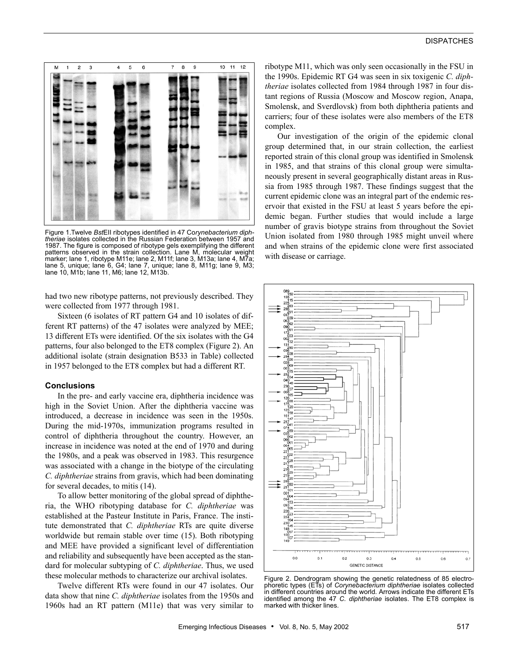## **DISPATCHES**



Figure 1.Twelve *Bst*EII ribotypes identified in 47 Co*rynebacterium diphtheriae* isolates collected in the Russian Federation between 1957 and 1987. The figure is composed of ribotype gels exemplifying the different patterns observed in the strain collection. Lane M, molecular weight marker; lane 1, ribotype M11e; lane 2, M11f; lane 3, M13a; lane 4, M7a; lane 5, unique; lane 6, G4; lane 7, unique; lane 8, M11g; lane 9, M3; lane 10, M1b; lane 11, M6; lane 12, M13b.

had two new ribotype patterns, not previously described. They were collected from 1977 through 1981.

Sixteen (6 isolates of RT pattern G4 and 10 isolates of different RT patterns) of the 47 isolates were analyzed by MEE; 13 different ETs were identified. Of the six isolates with the G4 patterns, four also belonged to the ET8 complex (Figure 2). An additional isolate (strain designation B533 in Table) collected in 1957 belonged to the ET8 complex but had a different RT.

#### **Conclusions**

In the pre- and early vaccine era, diphtheria incidence was high in the Soviet Union. After the diphtheria vaccine was introduced, a decrease in incidence was seen in the 1950s. During the mid-1970s, immunization programs resulted in control of diphtheria throughout the country. However, an increase in incidence was noted at the end of 1970 and during the 1980s, and a peak was observed in 1983. This resurgence was associated with a change in the biotype of the circulating *C. diphtheriae* strains from gravis, which had been dominating for several decades, to mitis (14).

To allow better monitoring of the global spread of diphtheria, the WHO ribotyping database for *C. diphtheriae* was established at the Pasteur Institute in Paris, France. The institute demonstrated that *C. diphtheriae* RTs are quite diverse worldwide but remain stable over time (15). Both ribotyping and MEE have provided a significant level of differentiation and reliability and subsequently have been accepted as the standard for molecular subtyping of *C. diphtheriae*. Thus, we used these molecular methods to characterize our archival isolates.

Twelve different RTs were found in our 47 isolates. Our data show that nine *C. diphtheriae* isolates from the 1950s and 1960s had an RT pattern (M11e) that was very similar to ribotype M11, which was only seen occasionally in the FSU in the 1990s. Epidemic RT G4 was seen in six toxigenic *C. diphtheriae* isolates collected from 1984 through 1987 in four distant regions of Russia (Moscow and Moscow region, Anapa, Smolensk, and Sverdlovsk) from both diphtheria patients and carriers; four of these isolates were also members of the ET8 complex.

Our investigation of the origin of the epidemic clonal group determined that, in our strain collection, the earliest reported strain of this clonal group was identified in Smolensk in 1985, and that strains of this clonal group were simultaneously present in several geographically distant areas in Russia from 1985 through 1987. These findings suggest that the current epidemic clone was an integral part of the endemic reservoir that existed in the FSU at least 5 years before the epidemic began. Further studies that would include a large number of gravis biotype strains from throughout the Soviet Union isolated from 1980 through 1985 might unveil where and when strains of the epidemic clone were first associated with disease or carriage.



Figure 2. Dendrogram showing the genetic relatedness of 85 electrophoretic types (ETs) of *Corynebacterium diphtheriae* isolates collected in different countries around the world. Arrows indicate the different ETs identified among the 47 *C. diphtheriae* isolates. The ET8 complex is marked with thicker lines.